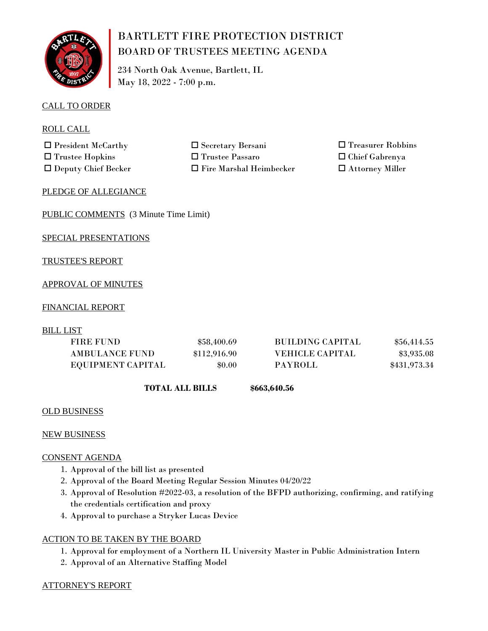

# BARTLETT FIRE PROTECTION DISTRICT BOARD OF TRUSTEES MEETING AGENDA

234 North Oak Avenue, Bartlett, IL May 18, 2022 - 7:00 p.m.

# CALL TO ORDER

ROLL CALL

 $\Box$  President McCarthy  $\Box$  Secretary Bersani  $\square$  Trustee Hopkins  $\square$  Trustee Passaro

 $\Box$  Deputy Chief Becker  $\Box$  Fire Marshal Heimbecker

 $\square$  Treasurer Robbins  $\square$  Chief Gabrenya

 $\square$  Attorney Miller

# PLEDGE OF ALLEGIANCE

PUBLIC COMMENTS (3 Minute Time Limit)

SPECIAL PRESENTATIONS

# TRUSTEE'S REPORT

# APPROVAL OF MINUTES

# FINANCIAL REPORT

BILL LIST

| <b>FIRE FUND</b>      | \$58,400.69  | <b>BUILDING CAPITAL</b> | \$56,414.55  |
|-----------------------|--------------|-------------------------|--------------|
| <b>AMBULANCE FUND</b> | \$112,916.90 | <b>VEHICLE CAPITAL</b>  | \$3,935.08   |
| EQUIPMENT CAPITAL     | \$0.00       | <b>PAYROLL</b>          | \$431,973.34 |

 **TOTAL ALL BILLS**

**\$663,640.56**

# OLD BUSINESS

# NEW BUSINESS

# CONSENT AGENDA

- 1. Approval of the bill list as presented
- 2. Approval of the Board Meeting Regular Session Minutes 04/20/22
- 3. Approval of Resolution #2022-03, a resolution of the BFPD authorizing, confirming, and ratifying the credentials certification and proxy
- 4. Approval to purchase a Stryker Lucas Device

# ACTION TO BE TAKEN BY THE BOARD

- 1. Approval for employment of a Northern IL University Master in Public Administration Intern
- 2. Approval of an Alternative Staffing Model

# ATTORNEY'S REPORT